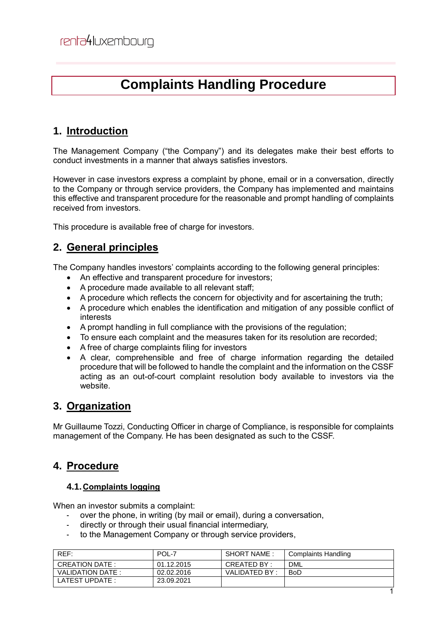# **Complaints Handling Procedure**

## **1. Introduction**

The Management Company ("the Company") and its delegates make their best efforts to conduct investments in a manner that always satisfies investors.

However in case investors express a complaint by phone, email or in a conversation, directly to the Company or through service providers, the Company has implemented and maintains this effective and transparent procedure for the reasonable and prompt handling of complaints received from investors.

This procedure is available free of charge for investors.

## **2. General principles**

The Company handles investors' complaints according to the following general principles:

- An effective and transparent procedure for investors:
- A procedure made available to all relevant staff;
- A procedure which reflects the concern for objectivity and for ascertaining the truth;
- A procedure which enables the identification and mitigation of any possible conflict of interests
- A prompt handling in full compliance with the provisions of the regulation;
- To ensure each complaint and the measures taken for its resolution are recorded;
- A free of charge complaints filing for investors
- A clear, comprehensible and free of charge information regarding the detailed procedure that will be followed to handle the complaint and the information on the CSSF acting as an out-of-court complaint resolution body available to investors via the website.

## **3. Organization**

Mr Guillaume Tozzi, Conducting Officer in charge of Compliance, is responsible for complaints management of the Company. He has been designated as such to the CSSF.

## **4. Procedure**

#### **4.1.Complaints logging**

When an investor submits a complaint:

- over the phone, in writing (by mail or email), during a conversation,
- directly or through their usual financial intermediary,
- to the Management Company or through service providers,

| REF:             | POL-7      | SHORT NAME:   | <b>Complaints Handling</b> |
|------------------|------------|---------------|----------------------------|
| CREATION DATE:   | 01.12.2015 | CREATED BY:   | <b>DML</b>                 |
| VALIDATION DATE: | 02.02.2016 | VALIDATED BY: | <b>BoD</b>                 |
| LATEST UPDATE :  | 23.09.2021 |               |                            |
|                  |            |               |                            |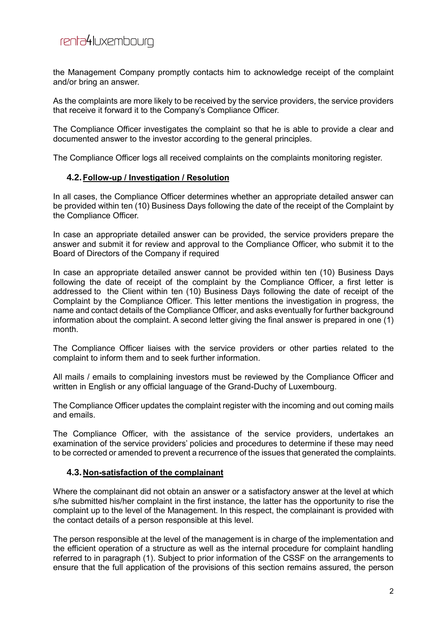the Management Company promptly contacts him to acknowledge receipt of the complaint and/or bring an answer.

As the complaints are more likely to be received by the service providers, the service providers that receive it forward it to the Company's Compliance Officer.

The Compliance Officer investigates the complaint so that he is able to provide a clear and documented answer to the investor according to the general principles.

The Compliance Officer logs all received complaints on the complaints monitoring register.

#### **4.2.Follow-up / Investigation / Resolution**

In all cases, the Compliance Officer determines whether an appropriate detailed answer can be provided within ten (10) Business Days following the date of the receipt of the Complaint by the Compliance Officer.

In case an appropriate detailed answer can be provided, the service providers prepare the answer and submit it for review and approval to the Compliance Officer, who submit it to the Board of Directors of the Company if required

In case an appropriate detailed answer cannot be provided within ten (10) Business Days following the date of receipt of the complaint by the Compliance Officer, a first letter is addressed to the Client within ten (10) Business Days following the date of receipt of the Complaint by the Compliance Officer. This letter mentions the investigation in progress, the name and contact details of the Compliance Officer, and asks eventually for further background information about the complaint. A second letter giving the final answer is prepared in one (1) month.

The Compliance Officer liaises with the service providers or other parties related to the complaint to inform them and to seek further information.

All mails / emails to complaining investors must be reviewed by the Compliance Officer and written in English or any official language of the Grand-Duchy of Luxembourg.

The Compliance Officer updates the complaint register with the incoming and out coming mails and emails.

The Compliance Officer, with the assistance of the service providers, undertakes an examination of the service providers' policies and procedures to determine if these may need to be corrected or amended to prevent a recurrence of the issues that generated the complaints.

#### **4.3.Non-satisfaction of the complainant**

Where the complainant did not obtain an answer or a satisfactory answer at the level at which s/he submitted his/her complaint in the first instance, the latter has the opportunity to rise the complaint up to the level of the Management. In this respect, the complainant is provided with the contact details of a person responsible at this level.

The person responsible at the level of the management is in charge of the implementation and the efficient operation of a structure as well as the internal procedure for complaint handling referred to in paragraph (1). Subject to prior information of the CSSF on the arrangements to ensure that the full application of the provisions of this section remains assured, the person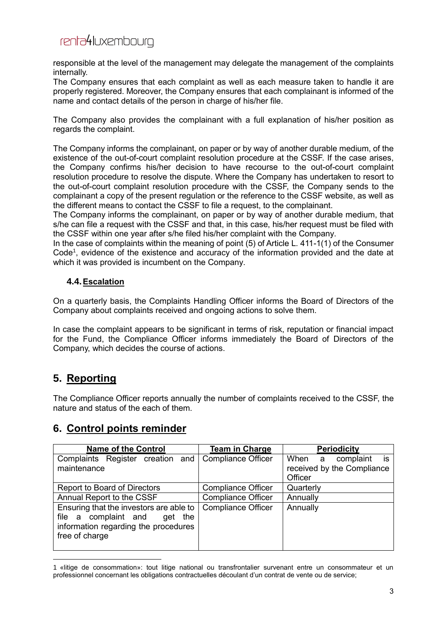responsible at the level of the management may delegate the management of the complaints internally.

The Company ensures that each complaint as well as each measure taken to handle it are properly registered. Moreover, the Company ensures that each complainant is informed of the name and contact details of the person in charge of his/her file.

The Company also provides the complainant with a full explanation of his/her position as regards the complaint.

The Company informs the complainant, on paper or by way of another durable medium, of the existence of the out-of-court complaint resolution procedure at the CSSF. If the case arises, the Company confirms his/her decision to have recourse to the out-of-court complaint resolution procedure to resolve the dispute. Where the Company has undertaken to resort to the out-of-court complaint resolution procedure with the CSSF, the Company sends to the complainant a copy of the present regulation or the reference to the CSSF website, as well as the different means to contact the CSSF to file a request, to the complainant.

The Company informs the complainant, on paper or by way of another durable medium, that s/he can file a request with the CSSF and that, in this case, his/her request must be filed with the CSSF within one year after s/he filed his/her complaint with the Company.

In the case of complaints within the meaning of point (5) of Article L. 411-1(1) of the Consumer Code<sup>1</sup>, evidence of the existence and accuracy of the information provided and the date at which it was provided is incumbent on the Company.

#### **4.4.Escalation**

On a quarterly basis, the Complaints Handling Officer informs the Board of Directors of the Company about complaints received and ongoing actions to solve them.

In case the complaint appears to be significant in terms of risk, reputation or financial impact for the Fund, the Compliance Officer informs immediately the Board of Directors of the Company, which decides the course of actions.

## **5. Reporting**

 $\overline{a}$ 

The Compliance Officer reports annually the number of complaints received to the CSSF, the nature and status of the each of them.

### **6. Control points reminder**

| <b>Name of the Control</b>                                                                                                           | <b>Team in Charge</b>     | <b>Periodicity</b>                    |
|--------------------------------------------------------------------------------------------------------------------------------------|---------------------------|---------------------------------------|
| Complaints Register creation and                                                                                                     | <b>Compliance Officer</b> | is<br>When a<br>complaint             |
| maintenance                                                                                                                          |                           | received by the Compliance<br>Officer |
|                                                                                                                                      |                           |                                       |
| Report to Board of Directors                                                                                                         | <b>Compliance Officer</b> | Quarterly                             |
| Annual Report to the CSSF                                                                                                            | <b>Compliance Officer</b> | Annually                              |
| Ensuring that the investors are able to<br>file a complaint and<br>get the<br>information regarding the procedures<br>free of charge | <b>Compliance Officer</b> | Annually                              |

<sup>1 «</sup>litige de consommation»: tout litige national ou transfrontalier survenant entre un consommateur et un professionnel concernant les obligations contractuelles découlant d'un contrat de vente ou de service;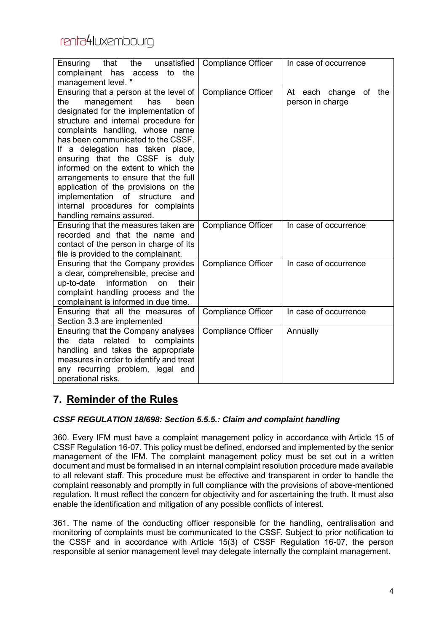| that<br>the<br>unsatisfied<br>Ensuring<br>complainant<br>has<br>the<br>to<br>access<br>management level."                                                                                                                                                                                                                                                                                                                                                                                                                                    | <b>Compliance Officer</b> | In case of occurrence                              |
|----------------------------------------------------------------------------------------------------------------------------------------------------------------------------------------------------------------------------------------------------------------------------------------------------------------------------------------------------------------------------------------------------------------------------------------------------------------------------------------------------------------------------------------------|---------------------------|----------------------------------------------------|
| Ensuring that a person at the level of<br>management<br>the<br>has<br>been<br>designated for the implementation of<br>structure and internal procedure for<br>complaints handling, whose name<br>has been communicated to the CSSF.<br>If a delegation has taken place,<br>ensuring that the CSSF is duly<br>informed on the extent to which the<br>arrangements to ensure that the full<br>application of the provisions on the<br>implementation of<br>structure<br>and<br>internal procedures for complaints<br>handling remains assured. | <b>Compliance Officer</b> | of<br>each change<br>the<br>At<br>person in charge |
| Ensuring that the measures taken are<br>recorded and that the name and<br>contact of the person in charge of its<br>file is provided to the complainant.                                                                                                                                                                                                                                                                                                                                                                                     | <b>Compliance Officer</b> | In case of occurrence                              |
| Ensuring that the Company provides<br>a clear, comprehensible, precise and<br>information<br>up-to-date<br>on<br>their<br>complaint handling process and the<br>complainant is informed in due time.                                                                                                                                                                                                                                                                                                                                         | <b>Compliance Officer</b> | In case of occurrence                              |
| Ensuring that all the measures of<br>Section 3.3 are implemented                                                                                                                                                                                                                                                                                                                                                                                                                                                                             | <b>Compliance Officer</b> | In case of occurrence                              |
| Ensuring that the Company analyses<br>related<br>the<br>data<br>to<br>complaints<br>handling and takes the appropriate<br>measures in order to identify and treat<br>any recurring problem, legal and<br>operational risks.                                                                                                                                                                                                                                                                                                                  | <b>Compliance Officer</b> | Annually                                           |

## **7. Reminder of the Rules**

#### *CSSF REGULATION 18/698: Section 5.5.5.: Claim and complaint handling*

360. Every IFM must have a complaint management policy in accordance with Article 15 of CSSF Regulation 16-07. This policy must be defined, endorsed and implemented by the senior management of the IFM. The complaint management policy must be set out in a written document and must be formalised in an internal complaint resolution procedure made available to all relevant staff. This procedure must be effective and transparent in order to handle the complaint reasonably and promptly in full compliance with the provisions of above-mentioned regulation. It must reflect the concern for objectivity and for ascertaining the truth. It must also enable the identification and mitigation of any possible conflicts of interest.

361. The name of the conducting officer responsible for the handling, centralisation and monitoring of complaints must be communicated to the CSSF. Subject to prior notification to the CSSF and in accordance with Article 15(3) of CSSF Regulation 16-07, the person responsible at senior management level may delegate internally the complaint management.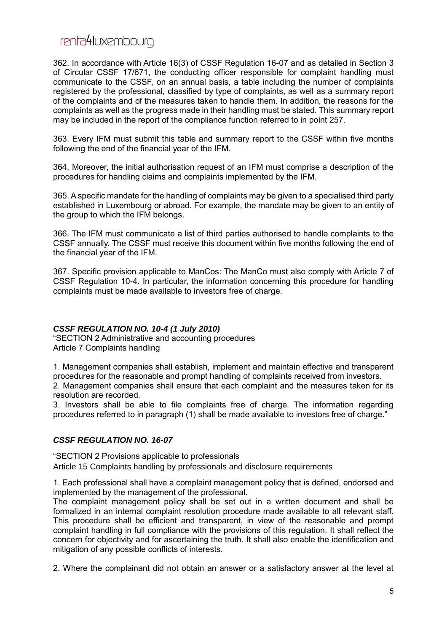362. In accordance with Article 16(3) of CSSF Regulation 16-07 and as detailed in Section 3 of Circular CSSF 17/671, the conducting officer responsible for complaint handling must communicate to the CSSF, on an annual basis, a table including the number of complaints registered by the professional, classified by type of complaints, as well as a summary report of the complaints and of the measures taken to handle them. In addition, the reasons for the complaints as well as the progress made in their handling must be stated. This summary report may be included in the report of the compliance function referred to in point 257.

363. Every IFM must submit this table and summary report to the CSSF within five months following the end of the financial year of the IFM.

364. Moreover, the initial authorisation request of an IFM must comprise a description of the procedures for handling claims and complaints implemented by the IFM.

365. A specific mandate for the handling of complaints may be given to a specialised third party established in Luxembourg or abroad. For example, the mandate may be given to an entity of the group to which the IFM belongs.

366. The IFM must communicate a list of third parties authorised to handle complaints to the CSSF annually. The CSSF must receive this document within five months following the end of the financial year of the IFM.

367. Specific provision applicable to ManCos: The ManCo must also comply with Article 7 of CSSF Regulation 10-4. In particular, the information concerning this procedure for handling complaints must be made available to investors free of charge.

#### *CSSF REGULATION NO. 10-4 (1 July 2010)*

"SECTION 2 Administrative and accounting procedures Article 7 Complaints handling

1. Management companies shall establish, implement and maintain effective and transparent procedures for the reasonable and prompt handling of complaints received from investors.

2. Management companies shall ensure that each complaint and the measures taken for its resolution are recorded.

3. Investors shall be able to file complaints free of charge. The information regarding procedures referred to in paragraph (1) shall be made available to investors free of charge."

#### *CSSF REGULATION NO. 16-07*

"SECTION 2 Provisions applicable to professionals Article 15 Complaints handling by professionals and disclosure requirements

1. Each professional shall have a complaint management policy that is defined, endorsed and implemented by the management of the professional.

The complaint management policy shall be set out in a written document and shall be formalized in an internal complaint resolution procedure made available to all relevant staff. This procedure shall be efficient and transparent, in view of the reasonable and prompt complaint handling in full compliance with the provisions of this regulation. It shall reflect the concern for objectivity and for ascertaining the truth. It shall also enable the identification and mitigation of any possible conflicts of interests.

2. Where the complainant did not obtain an answer or a satisfactory answer at the level at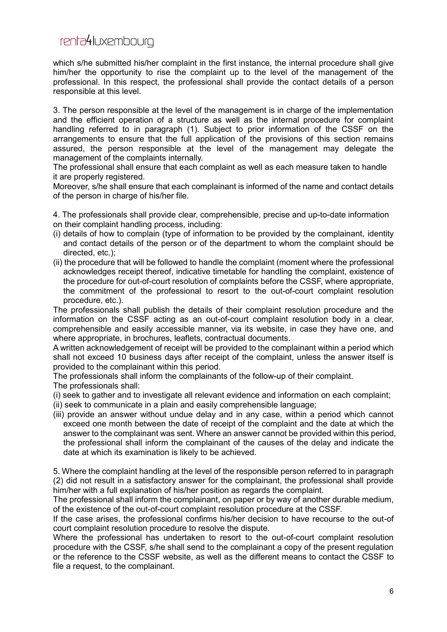which s/he submitted his/her complaint in the first instance, the internal procedure shall give him/her the opportunity to rise the complaint up to the level of the management of the professional. In this respect, the professional shall provide the contact details of a person responsible at this level.

3. The person responsible at the level of the management is in charge of the implementation and the efficient operation of a structure as well as the internal procedure for complaint handling referred to in paragraph (1). Subject to prior information of the CSSF on the arrangements to ensure that the full application of the provisions of this section remains assured, the person responsible at the level of the management may delegate the management of the complaints internally.

The professional shall ensure that each complaint as well as each measure taken to handle it are properly registered.

Moreover, s/he shall ensure that each complainant is informed of the name and contact details of the person in charge of his/her file.

4. The professionals shall provide clear, comprehensible, precise and up-to-date information on their complaint handling process, including:

- (i) details of how to complain (type of information to be provided by the complainant, identity and contact details of the person or of the department to whom the complaint should be directed, etc.);
- (ii) the procedure that will be followed to handle the complaint (moment where the professional acknowledges receipt thereof, indicative timetable for handling the complaint, existence of the procedure for out-of-court resolution of complaints before the CSSF, where appropriate, the commitment of the professional to resort to the out-of-court complaint resolution procedure, etc.).

The professionals shall publish the details of their complaint resolution procedure and the information on the CSSF acting as an out-of-court complaint resolution body in a clear, comprehensible and easily accessible manner, via its website, in case they have one, and where appropriate, in brochures, leaflets, contractual documents.

A written acknowledgement of receipt will be provided to the complainant within a period which shall not exceed 10 business days after receipt of the complaint, unless the answer itself is provided to the complainant within this period.

The professionals shall inform the complainants of the follow-up of their complaint.

The professionals shall:

- (i) seek to gather and to investigate all relevant evidence and information on each complaint;
- (ii) seek to communicate in a plain and easily comprehensible language;
- (iii) provide an answer without undue delay and in any case, within a period which cannot exceed one month between the date of receipt of the complaint and the date at which the answer to the complainant was sent. Where an answer cannot be provided within this period, the professional shall inform the complainant of the causes of the delay and indicate the date at which its examination is likely to be achieved.

5. Where the complaint handling at the level of the responsible person referred to in paragraph (2) did not result in a satisfactory answer for the complainant, the professional shall provide him/her with a full explanation of his/her position as regards the complaint.

The professional shall inform the complainant, on paper or by way of another durable medium, of the existence of the out-of-court complaint resolution procedure at the CSSF.

If the case arises, the professional confirms his/her decision to have recourse to the out-of court complaint resolution procedure to resolve the dispute.

Where the professional has undertaken to resort to the out-of-court complaint resolution procedure with the CSSF, s/he shall send to the complainant a copy of the present regulation or the reference to the CSSF website, as well as the different means to contact the CSSF to file a request, to the complainant.